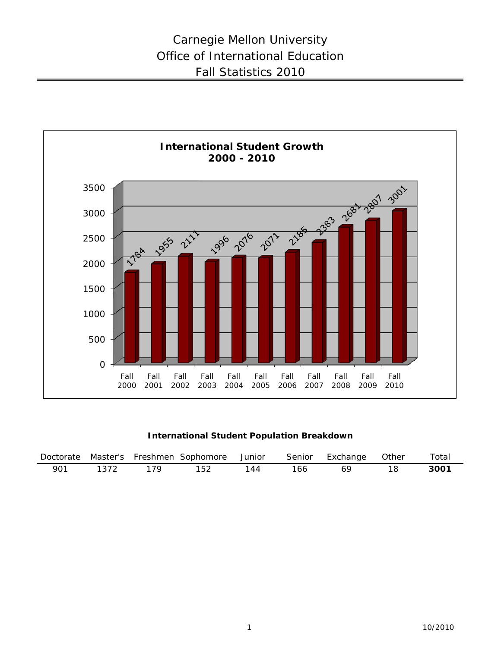

**International Student Population Breakdown**

| Doctorate | Master's | Freshmen | Sophomore | Junior | Senior | Exchange | <b>Other</b> | $\tau$ otal      |
|-----------|----------|----------|-----------|--------|--------|----------|--------------|------------------|
| 901       |          |          | ∠טי       | 147    | 166.   |          |              | 300 <sup>2</sup> |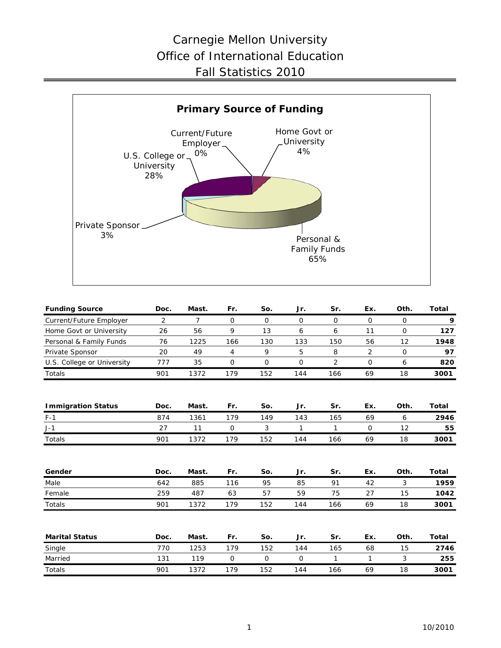## Carnegie Mellon University Office of International Education Fall Statistics 2010



| <b>Funding Source</b>      | Doc. | Mast.          | Fr.          | So.         | Jr.          | Sr.            | Ex.         | Oth.        | <b>Total</b> |
|----------------------------|------|----------------|--------------|-------------|--------------|----------------|-------------|-------------|--------------|
| Current/Future Employer    | 2    | $\overline{7}$ | $\mathsf{O}$ | $\mathbf 0$ | $\mathbf 0$  | $\mathbf 0$    | 0           | 0           | 9            |
| Home Govt or University    | 26   | 56             | 9            | 13          | 6            | 6              | 11          | $\mathbf 0$ | 127          |
| Personal & Family Funds    | 76   | 1225           | 166          | 130         | 133          | 150            | 56          | 12          | 1948         |
| Private Sponsor            | 20   | 49             | 4            | 9           | 5            | 8              | 2           | $\mathbf 0$ | 97           |
| U.S. College or University | 777  | 35             | $\mathbf{O}$ | $\mathbf 0$ | $\mathbf 0$  | $\overline{2}$ | $\mathbf 0$ | 6           | 820          |
| Totals                     | 901  | 1372           | 179          | 152         | 144          | 166            | 69          | 18          | 3001         |
| <b>Immigration Status</b>  | Doc. | Mast.          | Fr.          | So.         | Jr.          | Sr.            | Ex.         | Oth.        | Total        |
| $F-1$                      | 874  | 1361           | 179          | 149         | 143          | 165            | 69          | 6           | 2946         |
| $J-1$                      | 27   | 11             | 0            | 3           | 1            | 1              | $\mathbf 0$ | 12          | 55           |
| Totals                     | 901  | 1372           | 179          | 152         | 144          | 166            | 69          | 18          | 3001         |
| Gender                     | Doc. | Mast.          | Fr.          | So.         | Jr.          | Sr.            | Ex.         | Oth.        | <b>Total</b> |
| Male                       | 642  | 885            | 116          | 95          | 85           | 91             | 42          | 3           | 1959         |
| Female                     | 259  | 487            | 63           | 57          | 59           | 75             | 27          | 15          | 1042         |
| Totals                     | 901  | 1372           | 179          | 152         | 144          | 166            | 69          | 18          | 3001         |
| <b>Marital Status</b>      | Doc. | Mast.          | Fr.          | So.         | Jr.          | Sr.            | Ex.         | Oth.        | Total        |
| Single                     | 770  | 1253           | 179          | 152         | 144          | 165            | 68          | 15          | 2746         |
| Married                    | 131  | 119            | $\mathbf 0$  | 0           | $\mathsf{O}$ | $\mathbf{1}$   | 1           | 3           | 255          |
| Totals                     | 901  | 1372           | 179          | 152         | 144          | 166            | 69          | 18          | 3001         |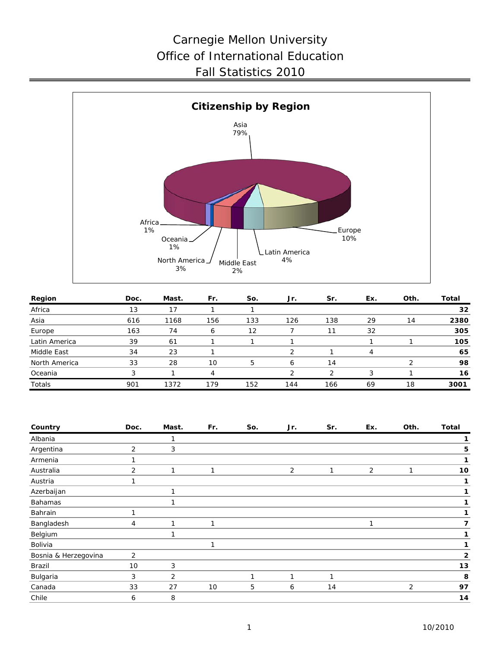## Carnegie Mellon University Office of International Education Fall Statistics 2010



| Region        | Doc. | Mast. | Fr. | So. | Jr. | Sr. | Ex. | Oth. | Total |
|---------------|------|-------|-----|-----|-----|-----|-----|------|-------|
| Africa        | 13   | 17    |     |     |     |     |     |      | 32    |
| Asia          | 616  | 1168  | 156 | 133 | 126 | 138 | 29  | 14   | 2380  |
| Europe        | 163  | 74    |     | 12  |     |     | 32  |      | 305   |
| Latin America | 39   | 61    |     |     |     |     |     |      | 105   |
| Middle East   | 34   | 23    |     |     | ◠   |     | 4   |      | 65    |
| North America | 33   | 28    | 10  | 5   | 6   | 14  |     | ◠    | 98    |
| Oceania       | 3    |       |     |     | ◠   | っ   | 3   |      | 16    |
| Totals        | 901  | 1372  | 179 | 152 | 144 | 166 | 69  | 18   | 3001  |

| Country              | Doc. | Mast. | Fr. | So. | Jr. | Sr. | Ex. | Oth. | <b>Total</b> |
|----------------------|------|-------|-----|-----|-----|-----|-----|------|--------------|
| Albania              |      | 1     |     |     |     |     |     |      |              |
| Argentina            | 2    | 3     |     |     |     |     |     |      | 5            |
| Armenia              |      |       |     |     |     |     |     |      | 1            |
| Australia            | 2    | ำ     | 1   |     | 2   | 1   | 2   | 1    | 10           |
| Austria              | 1    |       |     |     |     |     |     |      | 1            |
| Azerbaijan           |      | и     |     |     |     |     |     |      | 1            |
| Bahamas              |      |       |     |     |     |     |     |      |              |
| Bahrain              | ។    |       |     |     |     |     |     |      | 1            |
| Bangladesh           | 4    | ำ     | 1   |     |     |     |     |      | 7            |
| Belgium              |      | и     |     |     |     |     |     |      | 1            |
| Bolivia              |      |       | 1   |     |     |     |     |      | 1            |
| Bosnia & Herzegovina | 2    |       |     |     |     |     |     |      | $\mathbf{2}$ |
| Brazil               | 10   | 3     |     |     |     |     |     |      | 13           |
| Bulgaria             | 3    | 2     |     | 1   | 1   | 1   |     |      | 8            |
| Canada               | 33   | 27    | 10  | 5   | 6   | 14  |     | 2    | 97           |
| Chile                | 6    | 8     |     |     |     |     |     |      | 14           |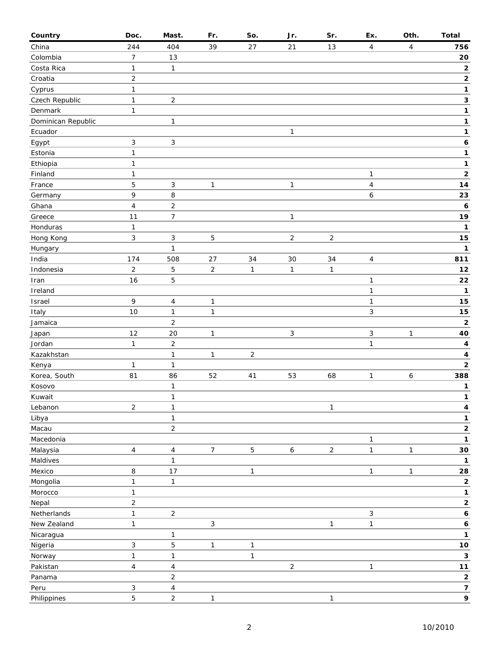| Country                    | Doc.                      | Mast.                   | Fr.            | So.            | Jr.            | Sr.            | Ex.            | Oth.         | <b>Total</b>                |
|----------------------------|---------------------------|-------------------------|----------------|----------------|----------------|----------------|----------------|--------------|-----------------------------|
| China                      | 244                       | 404                     | 39             | 27             | 21             | 13             | $\overline{4}$ | 4            | 756                         |
| Colombia                   | $\overline{7}$            | 13                      |                |                |                |                |                |              | ${\bf 20}$                  |
| Costa Rica                 | 1                         | $\mathbf{1}$            |                |                |                |                |                |              | $\mathbf 2$                 |
| Croatia                    | $\sqrt{2}$                |                         |                |                |                |                |                |              | $\mathbf 2$                 |
| Cyprus                     | $\mathbf{1}$              |                         |                |                |                |                |                |              | 1                           |
| Czech Republic             | $\mathbf{1}$              | $\overline{\mathbf{c}}$ |                |                |                |                |                |              | 3                           |
| Denmark                    | $\mathbf{1}$              |                         |                |                |                |                |                |              | 1                           |
| Dominican Republic         |                           | $\mathbf{1}$            |                |                |                |                |                |              | $\mathbf{1}$                |
| Ecuador                    |                           |                         |                |                | $\mathbf{1}$   |                |                |              | $\mathbf 1$                 |
| Egypt                      | $\ensuremath{\mathsf{3}}$ | 3                       |                |                |                |                |                |              | $\boldsymbol{6}$            |
| Estonia                    | $\mathbf{1}$              |                         |                |                |                |                |                |              | 1                           |
| Ethiopia                   | $\mathbf{1}$              |                         |                |                |                |                |                |              | 1                           |
| Finland                    | $\mathbf{1}$              |                         |                |                |                |                | 1              |              | $\mathbf 2$                 |
| France                     | 5                         | 3                       | $\mathbf{1}$   |                | $\mathbf{1}$   |                | 4              |              | 14                          |
| Germany                    | 9                         | 8                       |                |                |                |                | 6              |              | 23                          |
| Ghana                      | $\overline{4}$            | $\overline{c}$          |                |                |                |                |                |              | 6                           |
| Greece                     | 11                        | 7                       |                |                | $\mathbf{1}$   |                |                |              | 19                          |
| Honduras                   | $\mathbf{1}$              |                         |                |                |                |                |                |              | 1                           |
| Hong Kong                  | $\mathfrak{Z}$            | 3                       | 5              |                | $\overline{2}$ | $\overline{2}$ |                |              | 15                          |
| Hungary                    |                           | $\mathbf{1}$            |                |                |                |                |                |              | 1                           |
| India                      | 174                       | 508                     | 27             | 34             | $30\,$         | 34             | 4              |              | 811                         |
| Indonesia                  | $\overline{2}$            | 5                       | $\overline{a}$ | $\mathbf{1}$   | $\mathbf{1}$   | $\mathbf{1}$   |                |              | $12$                        |
| Iran                       | 16                        | 5                       |                |                |                |                | 1              |              | 22                          |
| Ireland                    |                           |                         |                |                |                |                | $\mathbf{1}$   |              | 1                           |
| Israel                     | 9                         | $\overline{\mathbf{4}}$ | $\mathbf{1}$   |                |                |                | $\mathbf{1}$   |              | 15                          |
| Italy                      | $10$                      | $\mathbf{1}$            | $\mathbf{1}$   |                |                |                | 3              |              | 15                          |
| Jamaica                    |                           | $\overline{2}$          |                |                |                |                |                |              | $\mathbf 2$                 |
| Japan                      | 12                        | 20                      | $\mathbf{1}$   |                | $\sqrt{3}$     |                | 3              | $\mathbf{1}$ | 40                          |
| Jordan                     | $\mathbf{1}$              | $\overline{c}$          |                |                |                |                | 1              |              | 4                           |
| Kazakhstan                 |                           | $\mathbf{1}$            | $\mathbf{1}$   | $\overline{2}$ |                |                |                |              | $\overline{\mathbf{4}}$     |
| Kenya                      | $\mathbf{1}$              | $\mathbf{1}$            |                |                |                |                |                |              | $\mathbf 2$                 |
| Korea, South               | 81                        | 86                      | 52             | 41             | 53             | 68             | $\mathbf{1}$   | 6            | 388                         |
| Kosovo                     |                           | $\mathbf{1}$            |                |                |                |                |                |              | $\mathbf{1}$                |
| Kuwait                     |                           | $\mathbf{1}$            |                |                |                |                |                |              | $\mathbf{1}$                |
| Lebanon                    | $\overline{2}$            | $\mathbf 1$             |                |                |                | $\mathbf{1}$   |                |              | 4                           |
| Libya                      |                           | $\mathbf{1}$            |                |                |                |                |                |              | 1                           |
| Macau                      |                           | $\overline{2}$          |                |                |                |                |                |              | $\mathbf{2}$                |
| Macedonia                  |                           |                         |                |                |                |                | 1              |              | 1                           |
| Malaysia                   | $\overline{4}$            | $\overline{\mathbf{4}}$ | $\overline{7}$ | $\overline{5}$ | $\epsilon$     | $\overline{2}$ | $\mathbf{1}$   | $\mathbf{1}$ | $30\,$                      |
| Maldives                   |                           | $\mathbf{1}$            |                |                |                |                |                |              | $\mathbf{1}$                |
| Mexico                     | 8                         | 17                      |                | $\mathbf{1}$   |                |                | $\mathbf{1}$   | $\mathbf{1}$ | 28                          |
| Mongolia                   | $\mathbf{1}$              | $\mathbf{1}$            |                |                |                |                |                |              | $\mathbf 2$                 |
| Morocco<br>Nepal           | 1<br>$\overline{2}$       |                         |                |                |                |                |                |              | $\mathbf 1$<br>$\mathbf{2}$ |
|                            |                           |                         |                |                |                |                | 3              |              | $\boldsymbol{6}$            |
| Netherlands<br>New Zealand | $\mathbf{1}$              | $\overline{\mathbf{c}}$ | 3              |                |                |                |                |              |                             |
| Nicaragua                  | $\mathbf{1}$              | $\mathbf{1}$            |                |                |                | $\mathbf{1}$   | $\mathbf{1}$   |              | $\pmb{6}$<br>$\mathbf 1$    |
|                            | $\sqrt{3}$                | 5                       | $\mathbf{1}$   | 1              |                |                |                |              | $10$                        |
| Nigeria<br>Norway          | $\mathbf{1}$              | $\mathbf{1}$            |                | $\mathbf{1}$   |                |                |                |              | $\mathbf 3$                 |
| Pakistan                   | $\overline{4}$            | $\overline{\mathbf{4}}$ |                |                | $\overline{c}$ |                | $\mathbf{1}$   |              | $11$                        |
| Panama                     |                           | $\overline{2}$          |                |                |                |                |                |              | $\mathbf{2}$                |
| Peru                       | $\mathbf{3}$              | $\overline{\mathbf{4}}$ |                |                |                |                |                |              | $\overline{\mathbf{z}}$     |
| Philippines                | 5                         | $\overline{c}$          | 1              |                |                | 1              |                |              | 9                           |
|                            |                           |                         |                |                |                |                |                |              |                             |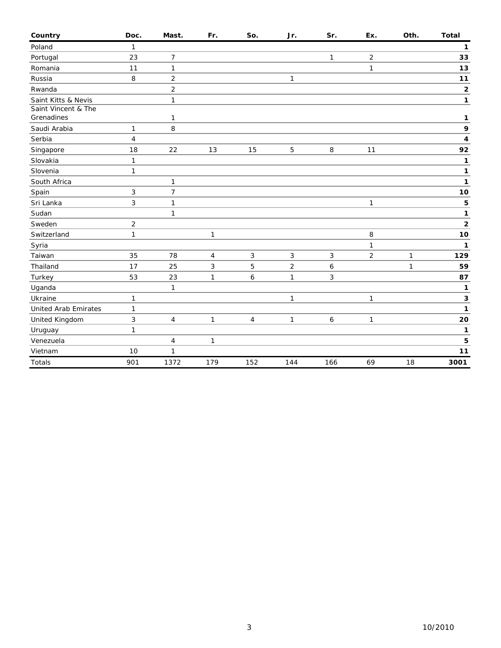| Country                           | Doc.           | Mast.          | Fr.          | So.            | Jr.            | Sr.    | Ex.            | Oth.         | <b>Total</b> |
|-----------------------------------|----------------|----------------|--------------|----------------|----------------|--------|----------------|--------------|--------------|
| Poland                            | 1              |                |              |                |                |        |                |              | 1            |
| Portugal                          | 23             | 7              |              |                |                | 1      | $\overline{c}$ |              | 33           |
| Romania                           | 11             | $\mathbf{1}$   |              |                |                |        | 1              |              | 13           |
| Russia                            | 8              | $\overline{c}$ |              |                | $\mathbf{1}$   |        |                |              | 11           |
| Rwanda                            |                | $\overline{c}$ |              |                |                |        |                |              | $\mathbf 2$  |
| Saint Kitts & Nevis               |                | $\mathbf{1}$   |              |                |                |        |                |              | $\mathbf{1}$ |
| Saint Vincent & The<br>Grenadines |                | 1              |              |                |                |        |                |              | 1            |
| Saudi Arabia                      | 1              | 8              |              |                |                |        |                |              | 9            |
| Serbia                            | $\overline{4}$ |                |              |                |                |        |                |              | 4            |
| Singapore                         | 18             | 22             | 13           | 15             | 5              | $\, 8$ | 11             |              | 92           |
| Slovakia                          | $\mathbf{1}$   |                |              |                |                |        |                |              | 1            |
| Slovenia                          | $\mathbf{1}$   |                |              |                |                |        |                |              | 1            |
| South Africa                      |                | $\mathbf{1}$   |              |                |                |        |                |              | 1            |
| Spain                             | 3              | $\overline{7}$ |              |                |                |        |                |              | $10$         |
| Sri Lanka                         | 3              | $\mathbf{1}$   |              |                |                |        | 1              |              | 5            |
| Sudan                             |                | $\mathbf{1}$   |              |                |                |        |                |              | 1            |
| Sweden                            | $\overline{2}$ |                |              |                |                |        |                |              | $\mathbf 2$  |
| Switzerland                       | $\mathbf{1}$   |                | $\mathbf{1}$ |                |                |        | 8              |              | 10           |
| Syria                             |                |                |              |                |                |        | 1              |              | $\mathbf{1}$ |
| Taiwan                            | 35             | 78             | 4            | 3              | 3              | 3      | $\overline{2}$ | $\mathbf{1}$ | 129          |
| Thailand                          | 17             | 25             | 3            | 5              | $\overline{2}$ | 6      |                | 1            | 59           |
| Turkey                            | 53             | 23             | 1            | 6              | $\mathbf{1}$   | 3      |                |              | 87           |
| Uganda                            |                | 1              |              |                |                |        |                |              | 1            |
| Ukraine                           | $\mathbf{1}$   |                |              |                | 1              |        | 1              |              | 3            |
| <b>United Arab Emirates</b>       | $\mathbf{1}$   |                |              |                |                |        |                |              | 1            |
| United Kingdom                    | 3              | $\overline{4}$ | $\mathbf{1}$ | $\overline{4}$ | $\mathbf{1}$   | 6      | 1              |              | 20           |
| Uruguay                           | 1              |                |              |                |                |        |                |              | $\mathbf{1}$ |
| Venezuela                         |                | $\overline{4}$ | 1            |                |                |        |                |              | 5            |
| Vietnam                           | 10             | $\mathbf{1}$   |              |                |                |        |                |              | 11           |
| <b>Totals</b>                     | 901            | 1372           | 179          | 152            | 144            | 166    | 69             | 18           | 3001         |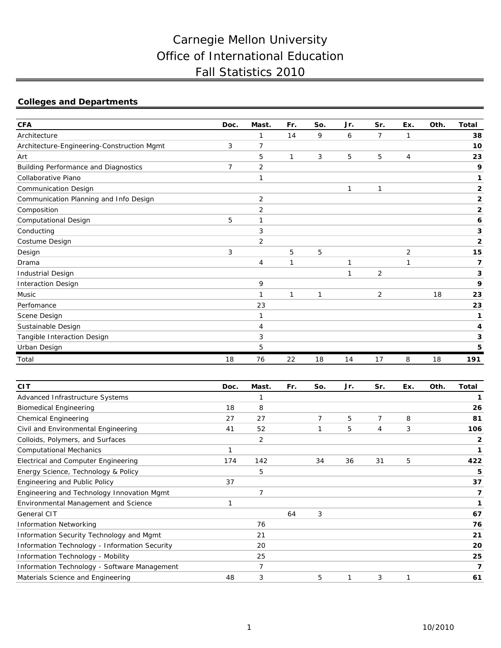# Carnegie Mellon University Office of International Education Fall Statistics 2010

## **Colleges and Departments**

| <b>CFA</b>                                 | Doc.           | Mast.          | Fr.          | So.          | Jr.          | Sr.            | Ex.            | Oth. | <b>Total</b>            |
|--------------------------------------------|----------------|----------------|--------------|--------------|--------------|----------------|----------------|------|-------------------------|
| Architecture                               |                | 1              | 14           | 9            | 6            | $\overline{7}$ | $\mathbf{1}$   |      | 38                      |
| Architecture-Engineering-Construction Mgmt | 3              | $\overline{7}$ |              |              |              |                |                |      | 10                      |
| Art                                        |                | 5              | 1            | 3            | 5            | 5              | $\overline{4}$ |      | 23                      |
| Building Performance and Diagnostics       | $\overline{7}$ | $\overline{2}$ |              |              |              |                |                |      | 9                       |
| Collaborative Piano                        |                | 1              |              |              |              |                |                |      | 1                       |
| <b>Communication Design</b>                |                |                |              |              | 1            | 1              |                |      | $\overline{\mathbf{2}}$ |
| Communication Planning and Info Design     |                | 2              |              |              |              |                |                |      | 2                       |
| Composition                                |                | 2              |              |              |              |                |                |      | $\overline{\mathbf{2}}$ |
| Computational Design                       | 5              | 1              |              |              |              |                |                |      | 6                       |
| Conducting                                 |                | 3              |              |              |              |                |                |      | 3                       |
| Costume Design                             |                | $\overline{2}$ |              |              |              |                |                |      | $\mathbf{2}$            |
| Design                                     | 3              |                | 5            | 5            |              |                | $\overline{2}$ |      | 15                      |
| Drama                                      |                | 4              | $\mathbf{1}$ |              | $\mathbf{1}$ |                | $\mathbf{1}$   |      | 7                       |
| Industrial Design                          |                |                |              |              | 1            | 2              |                |      | 3                       |
| <b>Interaction Design</b>                  |                | 9              |              |              |              |                |                |      | 9                       |
| Music                                      |                | $\mathbf{1}$   | 1            | $\mathbf{1}$ |              | $\overline{2}$ |                | 18   | 23                      |
| Perfomance                                 |                | 23             |              |              |              |                |                |      | 23                      |
| Scene Design                               |                | 1              |              |              |              |                |                |      | 1                       |
| Sustainable Design                         |                | 4              |              |              |              |                |                |      | 4                       |
| Tangible Interaction Design                |                | 3              |              |              |              |                |                |      | 3                       |
| Urban Design                               |                | 5              |              |              |              |                |                |      | 5                       |
| Total                                      | 18             | 76             | 22           | 18           | 14           | 17             | 8              | 18   | 191                     |

| <b>CIT</b>                                    | Doc. | Mast. | Fr. | So. | Jr. | Sr.            | Ex. | Oth. | Total |
|-----------------------------------------------|------|-------|-----|-----|-----|----------------|-----|------|-------|
| Advanced Infrastructure Systems               |      |       |     |     |     |                |     |      |       |
| <b>Biomedical Engineering</b>                 | 18   | 8     |     |     |     |                |     |      | 26    |
| <b>Chemical Engineering</b>                   | 27   | 27    |     | 7   | 5   | $\overline{7}$ | 8   |      | 81    |
| Civil and Environmental Engineering           | 41   | 52    |     |     | 5   | 4              | 3   |      | 106   |
| Colloids, Polymers, and Surfaces              |      | 2     |     |     |     |                |     |      | 2     |
| <b>Computational Mechanics</b>                | 1    |       |     |     |     |                |     |      | 1     |
| Electrical and Computer Engineering           | 174  | 142   |     | 34  | 36  | 31             | 5   |      | 422   |
| Energy Science, Technology & Policy           |      | 5     |     |     |     |                |     |      | 5     |
| Engineering and Public Policy                 | 37   |       |     |     |     |                |     |      | 37    |
| Engineering and Technology Innovation Mgmt    |      | 7     |     |     |     |                |     |      | 7     |
| <b>Environmental Management and Science</b>   | 1    |       |     |     |     |                |     |      | 1     |
| General CIT                                   |      |       | 64  | 3   |     |                |     |      | 67    |
| <b>Information Networking</b>                 |      | 76    |     |     |     |                |     |      | 76    |
| Information Security Technology and Mgmt      |      | 21    |     |     |     |                |     |      | 21    |
| Information Technology - Information Security |      | 20    |     |     |     |                |     |      | 20    |
| Information Technology - Mobility             |      | 25    |     |     |     |                |     |      | 25    |
| Information Technology - Software Management  |      | 7     |     |     |     |                |     |      | 7     |
| Materials Science and Engineering             | 48   | 3     |     | 5   |     | 3              | 1   |      | 61    |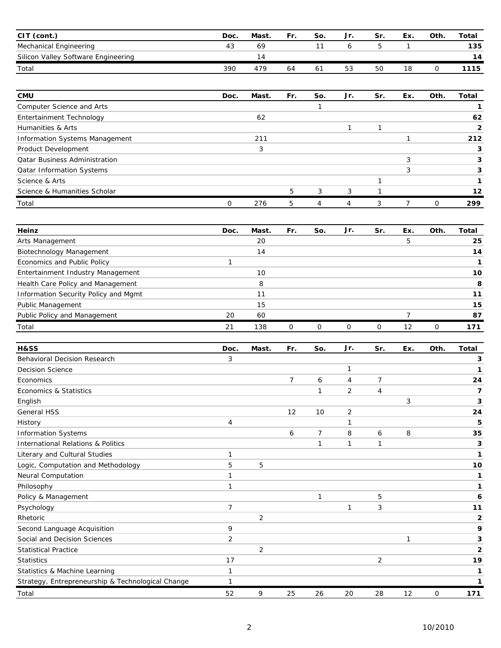| <b>CIT</b><br>(cont.)               | Doc.       | Mast | Fr. | So. | Jr. | Sr. | Ex. | Oth. | Total |
|-------------------------------------|------------|------|-----|-----|-----|-----|-----|------|-------|
| Mechanical Engineering              | 43         | 69   |     |     |     |     |     |      | 135   |
| Silicon Valley Software Engineering |            | ۰4   |     |     |     |     |     |      | 14    |
| Total                               | <i>390</i> | 479  | 64  | 61  | 53  | 50  |     |      | 1115  |

| <b>CMU</b>                           | Doc. | Mast. | Fr. | So. | Jr. | Sr. | Ex. | Oth.     | Total |
|--------------------------------------|------|-------|-----|-----|-----|-----|-----|----------|-------|
| Computer Science and Arts            |      |       |     |     |     |     |     |          |       |
| Entertainment Technology             |      | 62    |     |     |     |     |     |          | 62    |
| Humanities & Arts                    |      |       |     |     |     |     |     |          |       |
| Information Systems Management       |      | 211   |     |     |     |     |     |          | 212   |
| Product Development                  |      | 3     |     |     |     |     |     |          |       |
| <b>Qatar Business Administration</b> |      |       |     |     |     |     | 3   |          |       |
| <b>Qatar Information Systems</b>     |      |       |     |     |     |     |     |          |       |
| Science & Arts                       |      |       |     |     |     |     |     |          |       |
| Science & Humanities Scholar         |      |       | 5   | 3   | 3   |     |     |          | 12    |
| Total                                | 0    | 276   | 5   | 4   |     | 3   |     | $\Omega$ | 299   |

| Heinz                                | Doc. | Mast. | Fr. | So. | Jr.      | Sr. | Ex. | Oth. | Total |
|--------------------------------------|------|-------|-----|-----|----------|-----|-----|------|-------|
| Arts Management                      |      | 20    |     |     |          |     | 5   |      | 25    |
| Biotechnology Management             |      | 14    |     |     |          |     |     |      | 14    |
| Economics and Public Policy          |      |       |     |     |          |     |     |      |       |
| Entertainment Industry Management    |      | 10    |     |     |          |     |     |      | 10    |
| Health Care Policy and Management    |      | 8     |     |     |          |     |     |      | 8     |
| Information Security Policy and Mgmt |      |       |     |     |          |     |     |      | 11    |
| Public Management                    |      | 15    |     |     |          |     |     |      | 15    |
| Public Policy and Management         | 20   | 60    |     |     |          |     |     |      | 87    |
| Total                                | 21   | 138   |     |     | $\Omega$ | Ω   | 12  | Ω    | 171   |

| H&SS                                              | Doc.           | Mast. | Fr.            | So.            | Jr. | Sr.            | Ex. | Oth. | <b>Total</b> |
|---------------------------------------------------|----------------|-------|----------------|----------------|-----|----------------|-----|------|--------------|
| <b>Behavioral Decision Research</b>               | 3              |       |                |                |     |                |     |      | 3            |
| <b>Decision Science</b>                           |                |       |                |                | 1   |                |     |      | 1            |
| Economics                                         |                |       | $\overline{7}$ | 6              | 4   | $\overline{7}$ |     |      | 24           |
| Economics & Statistics                            |                |       |                | 1              | 2   | 4              |     |      | 7            |
| English                                           |                |       |                |                |     |                | 3   |      | 3            |
| <b>General HSS</b>                                |                |       | 12             | 10             | 2   |                |     |      | 24           |
| History                                           | $\overline{4}$ |       |                |                | 1   |                |     |      | 5            |
| <b>Information Systems</b>                        |                |       | 6              | $\overline{7}$ | 8   | 6              | 8   |      | 35           |
| <b>International Relations &amp; Politics</b>     |                |       |                | 1              | 1   | 1              |     |      | 3            |
| Literary and Cultural Studies                     | 1              |       |                |                |     |                |     |      | 1            |
| Logic, Computation and Methodology                | 5              | 5     |                |                |     |                |     |      | 10           |
| Neural Computation                                | 1              |       |                |                |     |                |     |      | 1            |
| Philosophy                                        | $\mathbf{1}$   |       |                |                |     |                |     |      | 1            |
| Policy & Management                               |                |       |                | 1              |     | 5              |     |      | 6            |
| Psychology                                        | $\overline{7}$ |       |                |                | 1   | 3              |     |      | 11           |
| Rhetoric                                          |                | 2     |                |                |     |                |     |      | $\mathbf{2}$ |
| Second Language Acquisition                       | 9              |       |                |                |     |                |     |      | 9            |
| Social and Decision Sciences                      | $\overline{2}$ |       |                |                |     |                | 1   |      | 3            |
| <b>Statistical Practice</b>                       |                | 2     |                |                |     |                |     |      | $\mathbf{2}$ |
| <b>Statistics</b>                                 | 17             |       |                |                |     | $\overline{2}$ |     |      | 19           |
| Statistics & Machine Learning                     | $\mathbf{1}$   |       |                |                |     |                |     |      | 1            |
| Strategy, Entrepreneurship & Technological Change | 1              |       |                |                |     |                |     |      | 1            |
| Total                                             | 52             | 9     | 25             | 26             | 20  | 28             | 12  | 0    | 171          |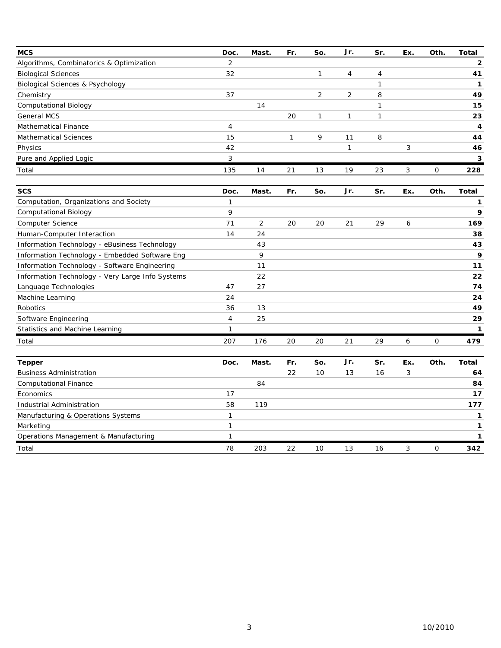| <b>MCS</b>                                       | Doc.           | Mast. | Fr. | So.            | Jr.            | Sr. | Ex. | Oth. | <b>Total</b> |
|--------------------------------------------------|----------------|-------|-----|----------------|----------------|-----|-----|------|--------------|
| Algorithms, Combinatorics & Optimization         | $\overline{2}$ |       |     |                |                |     |     |      | $\mathbf{2}$ |
| <b>Biological Sciences</b>                       |                |       |     | $\mathbf{1}$   | $\overline{4}$ | 4   |     |      | 41           |
| <b>Biological Sciences &amp; Psychology</b>      |                |       |     |                |                | 1   |     |      | $\mathbf{1}$ |
| Chemistry                                        | 37             |       |     | $\overline{2}$ | $\overline{2}$ | 8   |     |      | 49           |
| <b>Computational Biology</b>                     |                | 14    |     |                |                | 1   |     |      | 15           |
| <b>General MCS</b>                               |                |       | 20  | $\mathbf{1}$   | 1              | 1   |     |      | 23           |
| <b>Mathematical Finance</b>                      | 4              |       |     |                |                |     |     |      | 4            |
| <b>Mathematical Sciences</b>                     | 15             |       | 1   | 9              | 11             | 8   |     |      | 44           |
| Physics                                          | 42             |       |     |                | $\mathbf{1}$   |     | 3   |      | 46           |
| Pure and Applied Logic                           | 3              |       |     |                |                |     |     |      | 3            |
| Total                                            | 135            | 14    | 21  | 13             | 19             | 23  | 3   | 0    | 228          |
| <b>SCS</b>                                       | Doc.           | Mast. | Fr. | So.            | Jr.            | Sr. | Ex. | Oth. | <b>Total</b> |
| Computation, Organizations and Society           | $\mathbf{1}$   |       |     |                |                |     |     |      | 1            |
| Computational Biology                            | 9              |       |     |                |                |     |     |      | 9            |
| Computer Science                                 | 71             | 2     | 20  | 20             | 21             | 29  | 6   |      | 169          |
| Human-Computer Interaction                       | 14             | 24    |     |                |                |     |     |      | 38           |
| Information Technology - eBusiness Technology    |                | 43    |     |                |                |     |     |      | 43           |
| Information Technology - Embedded Software Eng   |                | 9     |     |                |                |     |     |      | 9            |
| Information Technology - Software Engineering    |                | 11    |     |                |                |     |     |      | 11           |
| Information Technology - Very Large Info Systems |                | 22    |     |                |                |     |     |      | 22           |
| Language Technologies                            | 47             | 27    |     |                |                |     |     |      | 74           |
| Machine Learning                                 | 24             |       |     |                |                |     |     |      | 24           |
| Robotics                                         | 36             | 13    |     |                |                |     |     |      | 49           |
| Software Engineering                             | 4              | 25    |     |                |                |     |     |      | 29           |
| Statistics and Machine Learning                  | 1              |       |     |                |                |     |     |      | 1            |
| Total                                            | 207            | 176   | 20  | 20             | 21             | 29  | 6   | 0    | 479          |
| <b>Tepper</b>                                    | Doc.           | Mast. | Fr. | So.            | Jr.            | Sr. | Ex. | Oth. | Total        |
| <b>Business Administration</b>                   |                |       | 22  | 10             | 13             | 16  | 3   |      | 64           |
| <b>Computational Finance</b>                     |                | 84    |     |                |                |     |     |      | 84           |
| Economics                                        | 17             |       |     |                |                |     |     |      | 17           |
| Industrial Administration                        | 58             | 119   |     |                |                |     |     |      | 177          |
| Manufacturing & Operations Systems               | 1              |       |     |                |                |     |     |      | 1            |
| Marketing                                        | $\mathbf{1}$   |       |     |                |                |     |     |      | 1            |
| Operations Management & Manufacturing            | 1              |       |     |                |                |     |     |      | $\mathbf{1}$ |
| Total                                            | 78             | 203   | 22  | 10             | 13             | 16  | 3   | 0    | 342          |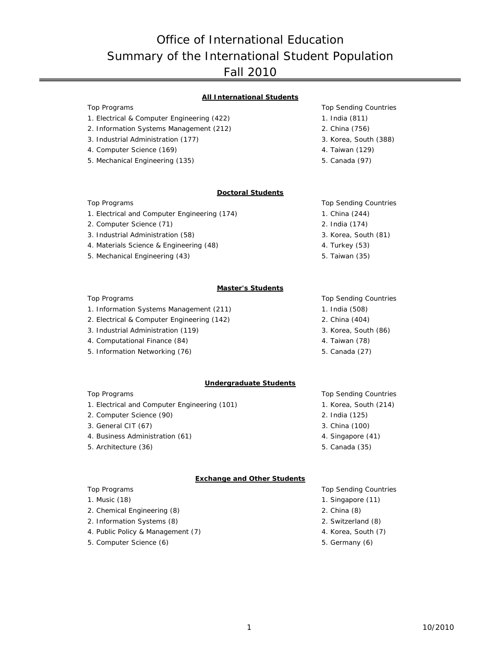## Office of International Education Summary of the International Student Population Fall 2010

### **All International Students**

**Doctoral Students**

### Top Programs Top Programs Top Sending Countries

- 1. Electrical & Computer Engineering (422) 1. India (811)
- 2. Information Systems Management (212) 2. China (756)
- 3. Industrial Administration (177) 3. Korea, South (388)
- 4. Computer Science (169) 4. Taiwan (129)
- 5. Mechanical Engineering (135) 5. Canada (97)

- 
- 
- 
- 

#### Top Programs Top Sending Countries

- 1. Electrical and Computer Engineering (174) 1. China (244)
- 2. Computer Science (71) 2. India (174)
- 3. Industrial Administration (58) 3. Korea, South (81)
- 4. Materials Science & Engineering (48) 4. Turkey (53)
- 5. Mechanical Engineering (43) 5. Taiwan (35)

### **Master's Students**

- 1. Information Systems Management (211) 1. India (508)
- 2. Electrical & Computer Engineering (142) 2. China (404)
- 3. Industrial Administration (119) 3. Korea, South (86)
- 4. Computational Finance (84) 4. Taiwan (78)
- 5. Information Networking (76) 5. Canada (27)

#### **Undergraduate Students**

- 1. Electrical and Computer Engineering (101) 1. Korea, South (214)
- 2. Computer Science (90) 2. India (125)
- 3. General CIT (67) 3. China (100)
- 4. Business Administration (61) 4. Singapore (41)
- 5. Architecture (36) 5. Canada (35)

#### **Exchange and Other Students**

- 
- 2. Chemical Engineering (8) 2. China (8)
- 2. Information Systems (8) 2. Switzerland (8)
- 4. Public Policy & Management (7) 4. Korea, South (7)
- 5. Computer Science (6) 5. Germany (6)
- 
- 
- 

#### Top Programs Top Sending Countries

- 
- 
- 
- 
- 

### Top Programs Top Programs Top Sending Countries

- 
- 
- 
- 
- 

#### Top Programs Top Programs Top Sending Countries

- 1. Music (18) 2. The contract of the contract of the contract of the contract of the contract of the contract of the contract of the contract of the contract of the contract of the contract of the contract of the contract
	-
	-
	-
	-